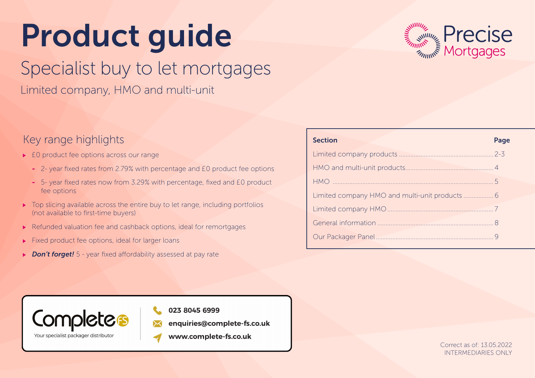# Product guide

# Specialist buy to let mortgages

Limited company, HMO and multi-unit

### Key range highlights

- ▶ E0 product fee options across our range
	- 2- year fixed rates from 2.79% with percentage and £0 product fee options
	- 5- year fixed rates now from 3.29% with percentage, fixed and £0 product fee options
- $\triangleright$  Top slicing available across the entire buy to let range, including portfolios (not available to first-time buyers)
- ▶ Refunded valuation fee and cashback options, ideal for remortgages
- $\blacktriangleright$  Fixed product fee options, ideal for larger loans
- ▶ **Don't forget!** 5 year fixed affordability assessed at pay rate



| <b>Section</b> | Page |
|----------------|------|
|                |      |
|                |      |
|                |      |
|                |      |
|                |      |
|                |      |
|                |      |
|                |      |



### 023 8045 6999

- enquiries@complete-fs.co.uk
- www.complete-fs.co.uk

Correct as of: 13.05.2022 INTERMEDIARIES ONLY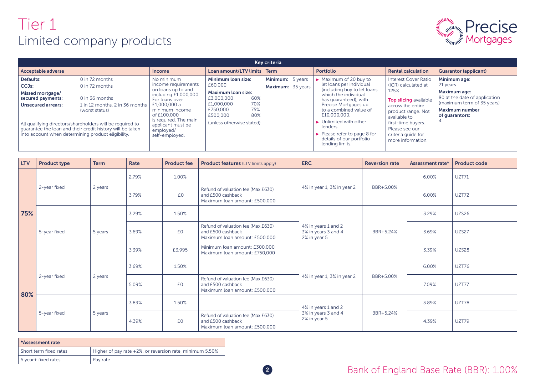### Tier 1 Limited company products



| Key criteria                                                                                                                                                |                                                                                                                                                                                                                                  |                                                                                                                                                                                                                                  |                                                                                                                                                                         |                                       |                                                                                                                                                                                                                                                                                                                                                                                  |                                                                                                                                                                                                                                           |                                                                                                                                                    |  |  |
|-------------------------------------------------------------------------------------------------------------------------------------------------------------|----------------------------------------------------------------------------------------------------------------------------------------------------------------------------------------------------------------------------------|----------------------------------------------------------------------------------------------------------------------------------------------------------------------------------------------------------------------------------|-------------------------------------------------------------------------------------------------------------------------------------------------------------------------|---------------------------------------|----------------------------------------------------------------------------------------------------------------------------------------------------------------------------------------------------------------------------------------------------------------------------------------------------------------------------------------------------------------------------------|-------------------------------------------------------------------------------------------------------------------------------------------------------------------------------------------------------------------------------------------|----------------------------------------------------------------------------------------------------------------------------------------------------|--|--|
| <b>Acceptable adverse</b>                                                                                                                                   |                                                                                                                                                                                                                                  | <b>Income</b>                                                                                                                                                                                                                    | Loan amount/LTV limits Term                                                                                                                                             |                                       | <b>Portfolio</b>                                                                                                                                                                                                                                                                                                                                                                 | <b>Rental calculation</b>                                                                                                                                                                                                                 | <b>Guarantor (applicant)</b>                                                                                                                       |  |  |
| Defaults:<br>CCJ <sub>s</sub> :<br>Missed mortgage/<br>secured payments:<br><b>Unsecured arrears:</b><br>into account when determining product eligibility. | 0 in 72 months<br>0 in 72 months<br>0 in 36 months<br>1 in 12 months, 2 in 36 months<br>(worst status)<br>All qualifying directors/shareholders will be required to<br>quarantee the loan and their credit history will be taken | No minimum<br>income requirements<br>on loans up to and<br>including £1,000,000.<br>For loans over<br>£1,000,000 a<br>minimum income<br>of £100,000<br>is required. The main<br>applicant must be<br>employed/<br>self-employed. | Minimum loan size:<br>£60,000<br><b>Maximum loan size:</b><br>60%<br>£3,000,000<br>70%<br>£1,000,000<br>75%<br>£750,000<br>80%<br>£500,000<br>(unless otherwise stated) | Minimum: 5 years<br>Maximum: 35 years | $\triangleright$ Maximum of 20 buy to<br>let loans per individual<br>(including buy to let loans<br>which the individual<br>has guaranteed), with<br>Precise Mortgages up<br>to a combined value of<br>£10,000,000.<br>$\blacktriangleright$ Unlimited with other<br>lenders.<br>$\blacktriangleright$ Please refer to page 8 for<br>details of our portfolio<br>lending limits. | <b>Interest Cover Ratio</b><br>(ICR) calculated at<br>125%.<br><b>Top slicing available</b><br>across the entire<br>product range. Not<br>available to<br>first-time buyers.<br>Please see our<br>criteria quide for<br>more information. | Minimum age:<br>21 years<br>Maximum age:<br>80 at the date of application<br>(maximum term of 35 years)<br><b>Maximum number</b><br>of quarantors: |  |  |

| <b>LTV</b> | <b>Product type</b> | <b>Term</b> | Rate  | <b>Product fee</b> | <b>Product features</b> (LTV limits apply)                                               | <b>ERC</b>                                                 | <b>Reversion rate</b> | Assessment rate* | <b>Product code</b> |
|------------|---------------------|-------------|-------|--------------------|------------------------------------------------------------------------------------------|------------------------------------------------------------|-----------------------|------------------|---------------------|
|            |                     |             | 2.79% | 1.00%              |                                                                                          |                                                            |                       | 6.00%            | <b>UZT71</b>        |
|            | 2-year fixed        | 2 years     | 3.79% | £0                 | Refund of valuation fee (Max £630)<br>and £500 cashback<br>Maximum loan amount: £500,000 | 4% in year 1, 3% in year 2                                 | BBR+5.00%             | 6.00%            | UZT72               |
| 75%        |                     |             | 3.29% | 1.50%              |                                                                                          | 4% in years 1 and 2<br>3% in years 3 and 4<br>2% in year 5 |                       | 3.29%            | <b>UZS26</b>        |
|            | 5-year fixed        | 5 years     | 3.69% | £0                 | Refund of valuation fee (Max £630)<br>and £500 cashback<br>Maximum loan amount: £500,000 |                                                            | BBR+5.24%             | 3.69%            | UZS27               |
|            |                     |             | 3.39% | £3,995             | Minimum Ioan amount: £300,000<br>Maximum loan amount: £750,000                           |                                                            |                       | 3.39%            | <b>UZS28</b>        |
|            |                     | 2 years     | 3.69% | 1.50%              |                                                                                          | 4% in year 1, 3% in year 2                                 | BBR+5.00%             | 6.00%            | UZT76               |
|            | 2-year fixed        |             | 5.09% | £0                 | Refund of valuation fee (Max £630)<br>and £500 cashback<br>Maximum Ioan amount: £500,000 |                                                            |                       | 7.09%            | UZT77               |
| 80%        | 5-year fixed        |             | 3.89% | 1.50%              |                                                                                          | 4% in years 1 and 2                                        |                       | 3.89%            | UZT78               |
|            |                     | 5 years     | 4.39% | £0                 | Refund of valuation fee (Max £630)<br>and £500 cashback<br>Maximum loan amount: £500,000 | 3% in years 3 and 4<br>2% in year 5                        | BBR+5.24%             | 4.39%            | UZT79               |

| <b>Assessment rate</b> |                                                          |  |  |  |  |  |
|------------------------|----------------------------------------------------------|--|--|--|--|--|
| Short term fixed rates | Higher of pay rate +2%, or reversion rate, minimum 5.50% |  |  |  |  |  |
| 5 year + fixed rates   | Pay rate                                                 |  |  |  |  |  |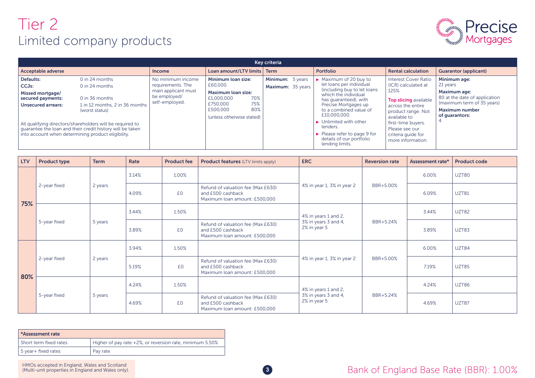# Tier 2 Limited company products



| Key criteria                                                                                                                                                |                                                                                                                                                                                                                                      |                                                                                                 |                                                                                                                                                    |                                       |  |                                                                                                                                                                                                                                                                                                                                                                                  |                                                                                                                                                                                                                             |                                                                                                                                                           |  |
|-------------------------------------------------------------------------------------------------------------------------------------------------------------|--------------------------------------------------------------------------------------------------------------------------------------------------------------------------------------------------------------------------------------|-------------------------------------------------------------------------------------------------|----------------------------------------------------------------------------------------------------------------------------------------------------|---------------------------------------|--|----------------------------------------------------------------------------------------------------------------------------------------------------------------------------------------------------------------------------------------------------------------------------------------------------------------------------------------------------------------------------------|-----------------------------------------------------------------------------------------------------------------------------------------------------------------------------------------------------------------------------|-----------------------------------------------------------------------------------------------------------------------------------------------------------|--|
| Acceptable adverse                                                                                                                                          |                                                                                                                                                                                                                                      | <b>Income</b>                                                                                   | Loan amount/LTV limits   Term                                                                                                                      |                                       |  | Portfolio                                                                                                                                                                                                                                                                                                                                                                        | <b>Rental calculation</b>                                                                                                                                                                                                   | <b>Guarantor (applicant)</b>                                                                                                                              |  |
| Defaults:<br>CCJ <sub>s</sub> :<br>Missed mortgage/<br>secured payments:<br><b>Unsecured arrears:</b><br>into account when determining product eligibility. | $0$ in 24 months<br>$0$ in 24 months<br>0 in 36 months<br>1 in 12 months, 2 in 36 months<br>(worst status)<br>All qualifying directors/shareholders will be required to<br>quarantee the loan and their credit history will be taken | No minimum income<br>requirements. The<br>main applicant must<br>be employed/<br>self-employed. | Minimum loan size:<br>£60,000<br><b>Maximum loan size:</b><br>70%<br>£1,000,000<br>75%<br>£750,000<br>80%<br>£500,000<br>(unless otherwise stated) | Minimum: 5 years<br>Maximum: 35 years |  | $\triangleright$ Maximum of 20 buy to<br>let loans per individual<br>(including buy to let loans<br>which the individual<br>has quaranteed), with<br>Precise Mortgages up<br>to a combined value of<br>£10,000,000.<br>$\blacktriangleright$ Unlimited with other<br>lenders.<br>$\blacktriangleright$ Please refer to page 9 for<br>details of our portfolio<br>lending limits. | Interest Cover Ratio<br>(ICR) calculated at<br>125%.<br>Top slicing available<br>across the entire<br>product range. Not<br>available to<br>first-time buyers.<br>Please see our<br>criteria quide for<br>more information. | Minimum age:<br>21 years<br><b>Maximum age:</b><br>80 at the date of application<br>(maximum term of 35 years)<br><b>Maximum number</b><br>of quarantors: |  |

| <b>LTV</b> | <b>Product type</b> | <b>Term</b>               | Rate  | <b>Product fee</b> | <b>Product features (LTV limits apply)</b>                                               | <b>ERC</b>                                                   | <b>Reversion rate</b> | Assessment rate* | <b>Product code</b> |
|------------|---------------------|---------------------------|-------|--------------------|------------------------------------------------------------------------------------------|--------------------------------------------------------------|-----------------------|------------------|---------------------|
|            |                     |                           | 3.14% | 1.00%              |                                                                                          |                                                              |                       | 6.00%            | UZT80               |
| 75%        | 2-year fixed        | 2 years                   | 4.09% | £0                 | Refund of valuation fee (Max £630)<br>and £500 cashback<br>Maximum loan amount: £500,000 | 4% in year 1, 3% in year 2                                   | BBR+5.00%             | 6.09%            | <b>UZT81</b>        |
|            | 5-year fixed        |                           | 3.44% | 1.50%              |                                                                                          | 4% in years 1 and 2,<br>3% in years 3 and 4,<br>2% in year 5 | BBR+5.24%             | 3.44%            | <b>UZT82</b>        |
|            |                     | 5 years                   | 3.89% | £0                 | Refund of valuation fee (Max £630)<br>and £500 cashback<br>Maximum loan amount: £500,000 |                                                              |                       | 3.89%            | UZT83               |
|            |                     | 3.94%<br>2 years<br>5.19% |       | 1.50%              |                                                                                          | 4% in year 1, 3% in year 2                                   | BBR+5.00%             | 6.00%            | UZT84               |
|            | 2-year fixed        |                           |       | £0                 | Refund of valuation fee (Max £630)<br>and £500 cashback<br>Maximum loan amount: £500,000 |                                                              |                       | 7.19%            | <b>UZT85</b>        |
| 80%        |                     | 5 years                   | 4.24% | 1.50%              |                                                                                          | 4% in years 1 and 2,<br>3% in years 3 and 4,<br>2% in year 5 |                       | 4.24%            | <b>UZT86</b>        |
|            | 5-year fixed        |                           | 4.69% | £0                 | Refund of valuation fee (Max £630)<br>and £500 cashback<br>Maximum loan amount: £500,000 |                                                              | BBR+5.24%             | 4.69%            | UZT87               |

| *Assessment rate         |                                                          |  |  |  |  |  |  |
|--------------------------|----------------------------------------------------------|--|--|--|--|--|--|
| l Short term fixed rates | Higher of pay rate +2%, or reversion rate, minimum 5.50% |  |  |  |  |  |  |
| 5 year+ fixed rates      | Pay rate                                                 |  |  |  |  |  |  |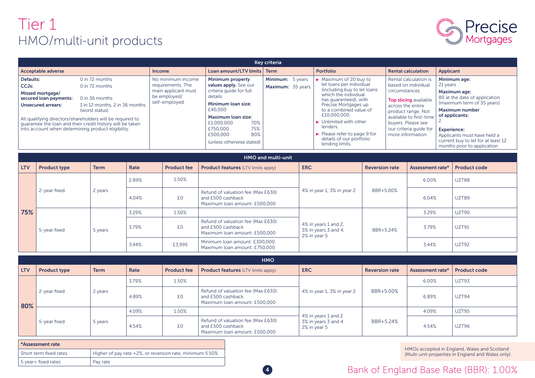# Tier 1 HMO/multi-unit products



| Key criteria                                                                                                                                                     |                                                                                                                                                                                                                                  |                                                                                                 |                                                                                                                                                                                                                                 |                                       |                                                                                                                                                                                                                                                                                                                                                                                  |                                                                                                                                                                                                                                    |                                                                                                                                                                                                                                                                              |  |  |
|------------------------------------------------------------------------------------------------------------------------------------------------------------------|----------------------------------------------------------------------------------------------------------------------------------------------------------------------------------------------------------------------------------|-------------------------------------------------------------------------------------------------|---------------------------------------------------------------------------------------------------------------------------------------------------------------------------------------------------------------------------------|---------------------------------------|----------------------------------------------------------------------------------------------------------------------------------------------------------------------------------------------------------------------------------------------------------------------------------------------------------------------------------------------------------------------------------|------------------------------------------------------------------------------------------------------------------------------------------------------------------------------------------------------------------------------------|------------------------------------------------------------------------------------------------------------------------------------------------------------------------------------------------------------------------------------------------------------------------------|--|--|
| Acceptable adverse                                                                                                                                               |                                                                                                                                                                                                                                  | <b>Income</b>                                                                                   | Loan amount/LTV limits Term                                                                                                                                                                                                     |                                       | <b>Portfolio</b>                                                                                                                                                                                                                                                                                                                                                                 | <b>Rental calculation</b>                                                                                                                                                                                                          | Applicant                                                                                                                                                                                                                                                                    |  |  |
| Defaults:<br>CCJ <sub>s</sub> :<br>Missed mortgage/<br>secured loan payments:<br><b>Unsecured arrears:</b><br>into account when determining product eligibility. | 0 in 72 months<br>0 in 72 months<br>0 in 36 months<br>1 in 12 months, 2 in 36 months<br>(worst status)<br>All qualifying directors/shareholders will be required to<br>quarantee the loan and their credit history will be taken | No minimum income<br>requirements. The<br>main applicant must<br>be employed/<br>self-employed. | Minimum property<br>values apply. See our<br>criteria quide for full<br>details.<br>Minimum loan size:<br>£40,000<br>Maximum loan size:<br>70%<br>£1,000,000<br>75%<br>£750,000<br>80%<br>£500,000<br>(unless otherwise stated) | Minimum: 5 years<br>Maximum: 35 years | $\triangleright$ Maximum of 20 buy to<br>let loans per individual<br>(including buy to let loans<br>which the individual<br>has quaranteed), with<br>Precise Mortgages up<br>to a combined value of<br>£10,000,000.<br>$\blacktriangleright$ Unlimited with other<br>lenders.<br>$\blacktriangleright$ Please refer to page 9 for<br>details of our portfolio<br>lending limits. | Rental calculation is<br>based on individual<br>circumstances.<br>Top slicing available<br>across the entire<br>product range. Not<br>available to first-time<br>buyers. Please see<br>our criteria guide for<br>more information. | Minimum age:<br>21 years<br>Maximum age:<br>80 at the date of application<br>(maximum term of 35 years)<br><b>Maximum number</b><br>of applicants:<br><b>Experience:</b><br>Applicants must have held a<br>current buy to let for at least 12<br>months prior to application |  |  |

|            | HMO and multi-unit  |             |       |                    |                                                                                          |                                                              |                       |                  |                     |  |  |  |
|------------|---------------------|-------------|-------|--------------------|------------------------------------------------------------------------------------------|--------------------------------------------------------------|-----------------------|------------------|---------------------|--|--|--|
| <b>LTV</b> | <b>Product type</b> | <b>Term</b> | Rate  | <b>Product fee</b> | <b>Product features</b> (LTV limits apply)                                               | <b>ERC</b>                                                   | <b>Reversion rate</b> | Assessment rate* | <b>Product code</b> |  |  |  |
|            |                     | 2 years     | 2.89% | 1.50%              |                                                                                          | 4% in year 1, 3% in year 2                                   |                       | 6.00%            | UZT88               |  |  |  |
|            | 2-year fixed        |             | 4.04% | £0                 | Refund of valuation fee (Max £630)<br>and £500 cashback<br>Maximum Ioan amount: £500,000 |                                                              | BBR+5.00%             | 6.04%            | UZT89               |  |  |  |
| 75%        |                     | 5 years     | 3.29% | 1.50%              |                                                                                          | 4% in years 1 and 2,<br>3% in years 3 and 4,<br>2% in year 5 | BBR+5.24%             | 3.29%            | UZT90               |  |  |  |
|            | 5-year fixed        |             | 3.79% | £0                 | Refund of valuation fee (Max £630)<br>and £500 cashback<br>Maximum Ioan amount: £500,000 |                                                              |                       | 3.79%            | <b>UZT91</b>        |  |  |  |
|            |                     |             | 3.44% | £3,995             | Minimum Ioan amount: £300,000<br>Maximum Ioan amount: £750,000                           |                                                              |                       | 3.44%            | UZT92               |  |  |  |

|            | <b>HMO</b>          |             |       |                    |                                                                                          |                                                            |                       |                  |                     |  |  |  |
|------------|---------------------|-------------|-------|--------------------|------------------------------------------------------------------------------------------|------------------------------------------------------------|-----------------------|------------------|---------------------|--|--|--|
| <b>LTV</b> | <b>Product type</b> | <b>Term</b> | Rate  | <b>Product fee</b> | <b>Product features (LTV limits apply)</b>                                               | <b>ERC</b>                                                 | <b>Reversion rate</b> | Assessment rate* | <b>Product code</b> |  |  |  |
|            | 2-year fixed        |             | 3.79% | 1.50%              |                                                                                          | 4% in year 1, 3% in year 2                                 | BBR+5.00%             | 6.00%            | UZT93               |  |  |  |
| 80%        |                     | 2 years     | 4.89% | £0                 | Refund of valuation fee (Max £630)<br>and £500 cashback<br>Maximum Ioan amount: £500,000 |                                                            |                       | 6.89%            | UZT94               |  |  |  |
|            |                     | 5 years     | 4.09% | 1.50%              |                                                                                          | 4% in years 1 and 2<br>3% in years 3 and 4<br>2% in year 5 | BBR+5.24%             | 4.09%            | UZT95               |  |  |  |
|            | 5-year fixed        |             | 4.54% | £0                 | Refund of valuation fee (Max £630)<br>and £500 cashback<br>Maximum loan amount: £500,000 |                                                            |                       | 4.54%            | UZT96               |  |  |  |

| *Assessment rate       |                                                          |
|------------------------|----------------------------------------------------------|
| Short term fixed rates | Higher of pay rate +2%, or reversion rate, minimum 5.50% |
| 5 year+ fixed rates    | Pay rate                                                 |

HMOs accepted in England, Wales and Scotland (Multi-unit properties in England and Wales only).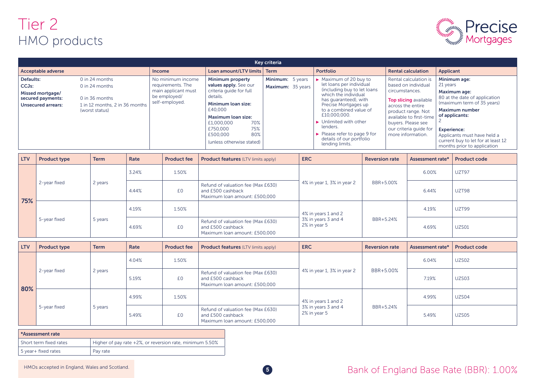# Tier 2 HMO products



| Key criteria                                                                                          |                                                                                                        |                                                                                                 |                                                                                                                                                                                                                                        |                                       |                                                                                                                                                                                                                                                                                                                                                                                  |                                                                                                                                                                                                                                    |                                                                                                                                                                                                                                                                                     |  |  |
|-------------------------------------------------------------------------------------------------------|--------------------------------------------------------------------------------------------------------|-------------------------------------------------------------------------------------------------|----------------------------------------------------------------------------------------------------------------------------------------------------------------------------------------------------------------------------------------|---------------------------------------|----------------------------------------------------------------------------------------------------------------------------------------------------------------------------------------------------------------------------------------------------------------------------------------------------------------------------------------------------------------------------------|------------------------------------------------------------------------------------------------------------------------------------------------------------------------------------------------------------------------------------|-------------------------------------------------------------------------------------------------------------------------------------------------------------------------------------------------------------------------------------------------------------------------------------|--|--|
| <b>Acceptable adverse</b>                                                                             |                                                                                                        | <b>Income</b>                                                                                   | Loan amount/LTV limits                                                                                                                                                                                                                 | <b>Term</b>                           | Portfolio                                                                                                                                                                                                                                                                                                                                                                        | <b>Rental calculation</b>                                                                                                                                                                                                          | <b>Applicant</b>                                                                                                                                                                                                                                                                    |  |  |
| Defaults:<br>CCJ <sub>s</sub> :<br>Missed mortgage/<br>secured payments:<br><b>Unsecured arrears:</b> | 0 in 24 months<br>0 in 24 months<br>0 in 36 months<br>1 in 12 months, 2 in 36 months<br>(worst status) | No minimum income<br>requirements. The<br>main applicant must<br>be employed/<br>self-employed. | Minimum property<br>values apply. See our<br>criteria quide for full<br>details.<br>Minimum loan size:<br>£40,000<br><b>Maximum loan size:</b><br>70%<br>£1,000,000<br>75%<br>£750,000<br>80%<br>£500,000<br>(unless otherwise stated) | Minimum: 5 years<br>Maximum: 35 years | $\triangleright$ Maximum of 20 buy to<br>let loans per individual<br>(including buy to let loans<br>which the individual<br>has quaranteed), with<br>Precise Mortgages up<br>to a combined value of<br>£10,000,000.<br>$\blacktriangleright$ Unlimited with other<br>lenders.<br>$\blacktriangleright$ Please refer to page 9 for<br>details of our portfolio<br>lending limits. | Rental calculation is<br>based on individual<br>circumstances.<br>Top slicing available<br>across the entire<br>product range. Not<br>available to first-time<br>buyers. Please see<br>our criteria quide for<br>more information. | Minimum age:<br>21 years<br><b>Maximum age:</b><br>80 at the date of application<br>(maximum term of 35 years)<br><b>Maximum number</b><br>of applicants:<br><b>Experience:</b><br>Applicants must have held a<br>current buy to let for at least 12<br>months prior to application |  |  |

| <b>LTV</b> | <b>Product type</b> | <b>Term</b>               | Rate  | <b>Product fee</b>                                                                       | <b>Product features (LTV limits apply)</b>                                               | <b>ERC</b>                 | <b>Reversion rate</b> | Assessment rate* | <b>Product code</b> |
|------------|---------------------|---------------------------|-------|------------------------------------------------------------------------------------------|------------------------------------------------------------------------------------------|----------------------------|-----------------------|------------------|---------------------|
| 75%        |                     |                           | 3.24% | 1.50%                                                                                    |                                                                                          | 4% in year 1, 3% in year 2 |                       | 6.00%            | UZT97               |
|            | 2-year fixed        | 2 years                   | 4.44% | £0                                                                                       | Refund of valuation fee (Max £630)<br>and £500 cashback<br>Maximum loan amount: £500,000 |                            | BBR+5.00%             | 6.44%            | UZT98               |
|            | 5-year fixed        | 4.19%<br>5 years<br>4.69% |       | 1.50%                                                                                    |                                                                                          | 4% in years 1 and 2        |                       | 4.19%            | UZT99               |
|            |                     |                           | £0    | Refund of valuation fee (Max £630)<br>and £500 cashback<br>Maximum loan amount: £500,000 | 3% in years 3 and 4<br>2% in year 5                                                      | BBR+5.24%                  | 4.69%                 | <b>UZS01</b>     |                     |

| <b>LTV</b> | <b>Product type</b>     | <b>Term</b> | Rate        | <b>Product fee</b> | <b>Product features (LTV limits apply)</b>                                               | <b>ERC</b>                          | <b>Reversion rate</b> | Assessment rate* | <b>Product code</b> |
|------------|-------------------------|-------------|-------------|--------------------|------------------------------------------------------------------------------------------|-------------------------------------|-----------------------|------------------|---------------------|
|            |                         | 2 years     | 4.04%       | 1.50%              |                                                                                          | 4% in year 1, 3% in year 2          |                       | 6.04%            | UZS02               |
|            | 2-year fixed            |             | 5.19%       | £0                 | Refund of valuation fee (Max £630)<br>and £500 cashback<br>Maximum loan amount: £500,000 |                                     | BBR+5.00%             | 7.19%            | UZS03               |
| 80%        | 5-year fixed<br>5 years |             | 4.99%       | 1.50%              |                                                                                          | 4% in years 1 and 2                 |                       | 4.99%            | UZS04               |
|            |                         |             | £0<br>5.49% |                    | Refund of valuation fee (Max £630)<br>and £500 cashback<br>Maximum Ioan amount: £500,000 | 3% in years 3 and 4<br>2% in year 5 | BBR+5.24%             | 5.49%            | UZS05               |

| <b>*Assessment rate</b> |                                                          |  |  |  |  |  |  |  |
|-------------------------|----------------------------------------------------------|--|--|--|--|--|--|--|
| Short term fixed rates  | Higher of pay rate +2%, or reversion rate, minimum 5.50% |  |  |  |  |  |  |  |
| 5 year+ fixed rates     | Pav rate                                                 |  |  |  |  |  |  |  |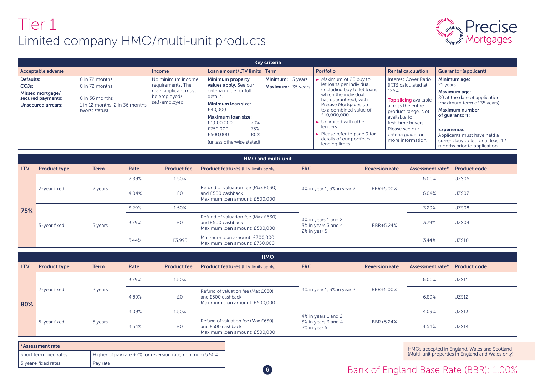# Tier 1 Limited company HMO/multi-unit products



|                                                                                                       | Key criteria                                                                                           |                                                                                                 |                                                                                                                                                                                                                                 |                                       |                                                                                                                                                                                                                                                                                                                                                                                  |                                                                                                                                                                                                                                    |                                                                                                                                                                                                                                                                                     |  |  |  |  |  |
|-------------------------------------------------------------------------------------------------------|--------------------------------------------------------------------------------------------------------|-------------------------------------------------------------------------------------------------|---------------------------------------------------------------------------------------------------------------------------------------------------------------------------------------------------------------------------------|---------------------------------------|----------------------------------------------------------------------------------------------------------------------------------------------------------------------------------------------------------------------------------------------------------------------------------------------------------------------------------------------------------------------------------|------------------------------------------------------------------------------------------------------------------------------------------------------------------------------------------------------------------------------------|-------------------------------------------------------------------------------------------------------------------------------------------------------------------------------------------------------------------------------------------------------------------------------------|--|--|--|--|--|
| <b>Acceptable adverse</b>                                                                             |                                                                                                        | <b>Income</b>                                                                                   | Loan amount/LTV limits Term                                                                                                                                                                                                     |                                       | Portfolio                                                                                                                                                                                                                                                                                                                                                                        | <b>Rental calculation</b>                                                                                                                                                                                                          | <b>Guarantor (applicant)</b>                                                                                                                                                                                                                                                        |  |  |  |  |  |
| Defaults:<br>CCJ <sub>s</sub> :<br>Missed mortgage/<br>secured payments:<br><b>Unsecured arrears:</b> | 0 in 72 months<br>0 in 72 months<br>0 in 36 months<br>1 in 12 months, 2 in 36 months<br>(worst status) | No minimum income<br>requirements. The<br>main applicant must<br>be employed/<br>self-employed. | Minimum property<br>values apply. See our<br>criteria quide for full<br>details.<br>Minimum loan size:<br>£40,000<br>Maximum loan size:<br>70%<br>£1,000,000<br>75%<br>£750,000<br>80%<br>£500,000<br>(unless otherwise stated) | Minimum: 5 years<br>Maximum: 35 years | $\triangleright$ Maximum of 20 buy to<br>let loans per individual<br>(including buy to let loans<br>which the individual<br>has quaranteed), with<br>Precise Mortgages up<br>to a combined value of<br>£10,000,000.<br>$\blacktriangleright$ Unlimited with other<br>lenders.<br>$\blacktriangleright$ Please refer to page 9 for<br>details of our portfolio<br>lending limits. | <b>Interest Cover Ratio</b><br>(ICR) calculated at<br>125%.<br>Top slicing available<br>across the entire<br>product range. Not<br>available to<br>first-time buyers.<br>Please see our<br>criteria quide for<br>more information. | Minimum age:<br>21 years<br><b>Maximum age:</b><br>80 at the date of application<br>(maximum term of 35 years)<br><b>Maximum number</b><br>of quarantors:<br><b>Experience:</b><br>Applicants must have held a<br>current buy to let for at least 12<br>months prior to application |  |  |  |  |  |

|            | <b>HMO and multi-unit</b> |                  |       |                    |                                                                                          |                                                            |                       |                  |                     |  |  |  |
|------------|---------------------------|------------------|-------|--------------------|------------------------------------------------------------------------------------------|------------------------------------------------------------|-----------------------|------------------|---------------------|--|--|--|
| <b>LTV</b> | <b>Product type</b>       | <b>Term</b>      | Rate  | <b>Product fee</b> | <b>Product features (LTV limits apply)</b>                                               | <b>ERC</b>                                                 | <b>Reversion rate</b> | Assessment rate* | <b>Product code</b> |  |  |  |
|            |                           |                  | 2.89% | 1.50%              |                                                                                          |                                                            |                       | 6.00%            | UZS06               |  |  |  |
|            | 2-year fixed              | 2 years<br>4.04% |       | £0                 | Refund of valuation fee (Max £630)<br>and £500 cashback<br>Maximum Ioan amount: £500,000 | 4% in year 1, 3% in year 2                                 | BBR+5.00%             | 6.04%            | UZS07               |  |  |  |
| 75%        |                           | 5 years          | 3.29% | 1.50%              |                                                                                          | 4% in years 1 and 2<br>3% in years 3 and 4<br>2% in year 5 | BBR+5.24%             | 3.29%            | UZS08               |  |  |  |
|            | 5-year fixed              |                  | 3.79% | £0                 | Refund of valuation fee (Max £630)<br>and £500 cashback<br>Maximum Ioan amount: £500,000 |                                                            |                       | 3.79%            | UZS09               |  |  |  |
|            |                           |                  | 3.44% | £3,995             | Minimum Ioan amount: £300,000<br>Maximum Ioan amount: £750,000                           |                                                            |                       | 3.44%            | <b>UZS10</b>        |  |  |  |

|            | <b>HMO</b>              |                  |       |                    |                                                                                          |                                                            |                       |                  |                     |  |  |  |
|------------|-------------------------|------------------|-------|--------------------|------------------------------------------------------------------------------------------|------------------------------------------------------------|-----------------------|------------------|---------------------|--|--|--|
| <b>LTV</b> | <b>Product type</b>     | <b>Term</b>      | Rate  | <b>Product fee</b> | <b>Product features</b> (LTV limits apply)                                               | <b>ERC</b>                                                 | <b>Reversion rate</b> | Assessment rate* | <b>Product code</b> |  |  |  |
| 80%        | 2 years<br>2-year fixed |                  | 3.79% | 1.50%              |                                                                                          | 4% in year 1, 3% in year 2                                 |                       | 6.00%            | <b>UZS11</b>        |  |  |  |
|            |                         |                  | 4.89% | £0                 | Refund of valuation fee (Max £630)<br>and £500 cashback<br>Maximum Ioan amount: £500,000 |                                                            | BBR+5.00%             | 6.89%            | <b>UZS12</b>        |  |  |  |
|            |                         |                  | 4.09% | 1.50%              |                                                                                          |                                                            | BBR+5.24%             | 4.09%            | <b>UZS13</b>        |  |  |  |
|            | 5-year fixed            | 5 years<br>4.54% |       | £0                 | Refund of valuation fee (Max £630)<br>and £500 cashback<br>Maximum Ioan amount: £500,000 | 4% in years 1 and 2<br>3% in years 3 and 4<br>2% in year 5 |                       | 4.54%            | <b>UZS14</b>        |  |  |  |

| *Assessment rate       |                                                          |  |  |  |  |  |  |  |
|------------------------|----------------------------------------------------------|--|--|--|--|--|--|--|
| Short term fixed rates | Higher of pay rate +2%, or reversion rate, minimum 5.50% |  |  |  |  |  |  |  |
| 5 year+ fixed rates    | Pav rate                                                 |  |  |  |  |  |  |  |

HMOs accepted in England, Wales and Scotland (Multi-unit properties in England and Wales only).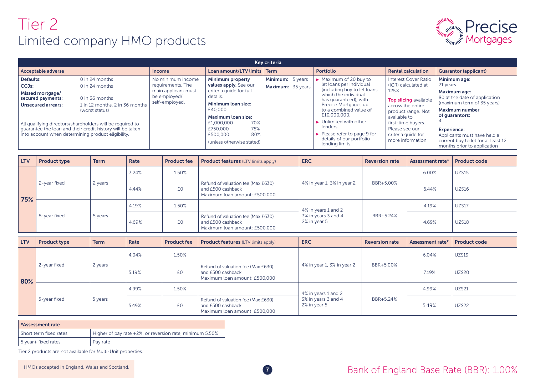# Tier 2 Limited company HMO products



|                                                                                                                                                                                                                                                                                                                                                                 | Key criteria                                                                                                                      |                                                                                                                                                                                                                   |                                                            |  |                                                                                                                                                                                                                                                                                                                                                            |                                                                                                                                                                                                                                    |                                                                                                                                                                                                                                                                                     |  |  |  |  |
|-----------------------------------------------------------------------------------------------------------------------------------------------------------------------------------------------------------------------------------------------------------------------------------------------------------------------------------------------------------------|-----------------------------------------------------------------------------------------------------------------------------------|-------------------------------------------------------------------------------------------------------------------------------------------------------------------------------------------------------------------|------------------------------------------------------------|--|------------------------------------------------------------------------------------------------------------------------------------------------------------------------------------------------------------------------------------------------------------------------------------------------------------------------------------------------------------|------------------------------------------------------------------------------------------------------------------------------------------------------------------------------------------------------------------------------------|-------------------------------------------------------------------------------------------------------------------------------------------------------------------------------------------------------------------------------------------------------------------------------------|--|--|--|--|
| <b>Acceptable adverse</b>                                                                                                                                                                                                                                                                                                                                       | <b>Income</b>                                                                                                                     | Loan amount/LTV limits                                                                                                                                                                                            | <b>Term</b>                                                |  | <b>Portfolio</b>                                                                                                                                                                                                                                                                                                                                           | <b>Rental calculation</b>                                                                                                                                                                                                          | <b>Guarantor (applicant)</b>                                                                                                                                                                                                                                                        |  |  |  |  |
| Defaults:<br>0 in 24 months<br>CCJ <sub>s</sub> :<br>$0$ in 24 months<br>Missed mortgage/<br>0 in 36 months<br>secured payments:<br><b>Unsecured arrears:</b><br>(worst status)<br>All qualifying directors/shareholders will be required to<br>quarantee the loan and their credit history will be taken<br>into account when determining product eligibility. | No minimum income<br>requirements. The<br>main applicant must<br>be employed/<br>self-employed.<br>1 in 12 months, 2 in 36 months | Minimum property<br>values apply. See our<br>criteria quide for full<br>details.<br>Minimum loan size:<br>£40,000<br><b>Maximum loan size:</b><br>£1,000,000<br>£750,000<br>£500,000<br>(unless otherwise stated) | Minimum: 5 years<br>Maximum: 35 years<br>70%<br>75%<br>80% |  | $\triangleright$ Maximum of 20 buy to<br>let loans per individual<br>(including buy to let loans<br>which the individual<br>has guaranteed), with<br>Precise Mortgages up<br>to a combined value of<br>£10,000,000.<br>$\blacktriangleright$ Unlimited with other<br>lenders.<br>Please refer to page 9 for<br>details of our portfolio<br>lending limits. | <b>Interest Cover Ratio</b><br>(ICR) calculated at<br>125%.<br>Top slicing available<br>across the entire<br>product range. Not<br>available to<br>first-time buyers.<br>Please see our<br>criteria quide for<br>more information. | Minimum age:<br>21 years<br><b>Maximum age:</b><br>80 at the date of application<br>(maximum term of 35 years)<br><b>Maximum number</b><br>of quarantors:<br><b>Experience:</b><br>Applicants must have held a<br>current buy to let for at least 12<br>months prior to application |  |  |  |  |

| <b>LTV</b> | <b>Product type</b> | <b>Term</b>               | Rate  | <b>Product fee</b>                                                                       | <b>Product features (LTV limits apply)</b>                                               | <b>ERC</b>                 | <b>Reversion rate</b> | Assessment rate* | <b>Product code</b> |
|------------|---------------------|---------------------------|-------|------------------------------------------------------------------------------------------|------------------------------------------------------------------------------------------|----------------------------|-----------------------|------------------|---------------------|
|            |                     |                           | 3.24% | 1.50%                                                                                    |                                                                                          |                            |                       | 6.00%            | <b>UZS15</b>        |
| 75%        | 2-year fixed        | 2 years                   | 4.44% | £0                                                                                       | Refund of valuation fee (Max £630)<br>and £500 cashback<br>Maximum Ioan amount: £500,000 | 4% in year 1, 3% in year 2 | BBR+5.00%             | 6.44%            | <b>UZS16</b>        |
|            | 5-year fixed        | 4.19%<br>5 years<br>4.69% |       | 1.50%                                                                                    |                                                                                          | 4% in years 1 and 2        |                       | 4.19%            | <b>UZS17</b>        |
|            |                     |                           | £0    | Refund of valuation fee (Max £630)<br>and £500 cashback<br>Maximum loan amount: £500,000 | 3% in years 3 and 4<br>2% in year 5                                                      | BBR+5.24%                  | 4.69%                 | <b>UZS18</b>     |                     |

| <b>LTV</b> | <b>Product type</b>     | <b>Term</b> | Rate  | <b>Product fee</b> | <b>Product features</b> (LTV limits apply)                                               | <b>ERC</b>                                                 | <b>Reversion rate</b> | Assessment rate* | <b>Product code</b> |
|------------|-------------------------|-------------|-------|--------------------|------------------------------------------------------------------------------------------|------------------------------------------------------------|-----------------------|------------------|---------------------|
|            |                         |             | 4.04% | 1.50%              |                                                                                          |                                                            |                       | 6.04%            | <b>UZS19</b>        |
| 80%        | 2-year fixed            | 2 years     | 5.19% | £0                 | Refund of valuation fee (Max £630)<br>and £500 cashback<br>Maximum loan amount: £500,000 | 4% in year 1, 3% in year 2                                 | BBR+5.00%             | 7.19%            | <b>UZS20</b>        |
|            |                         |             | 4.99% | 1.50%              |                                                                                          | 4% in years 1 and 2<br>3% in years 3 and 4<br>2% in year 5 |                       | 4.99%            | <b>UZS21</b>        |
|            | 5-year fixed<br>5 years |             | 5.49% | £0                 | Refund of valuation fee (Max £630)<br>and £500 cashback<br>Maximum loan amount: £500,000 |                                                            | BBR+5.24%             | 5.49%            | <b>UZS22</b>        |

| *Assessment rate       |                                                          |
|------------------------|----------------------------------------------------------|
| Short term fixed rates | Higher of pay rate +2%, or reversion rate, minimum 5.50% |
| 5 year+ fixed rates    | Pay rate                                                 |

Tier 2 products are not available for Multi-Unit properties.

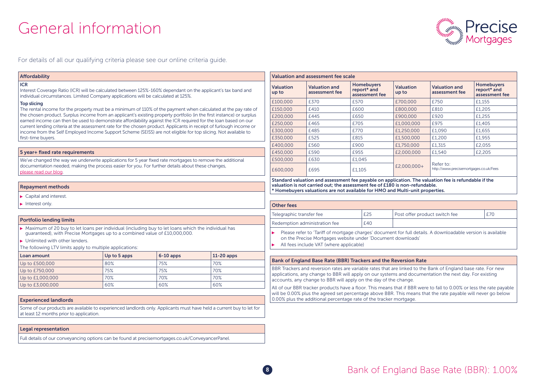# General information



For details of all our qualifying criteria please see our online criteria guide.

#### Affordability

#### ICR

Interest Coverage Ratio (ICR) will be calculated between 125%-160% dependant on the applicant's tax band and individual circumstances. Limited Company applications will be calculated at 125%.

#### Top slicing

The rental income for the property must be a minimum of 110% of the payment when calculated at the pay rate of the chosen product. Surplus income from an applicant's existing property portfolio (in the first instance) or surplus earned income can then be used to demonstrate affordability against the ICR required for the loan based on our current lending criteria at the assessment rate for the chosen product. Applicants in receipt of furlough income or income from the Self Employed Income Support Scheme (SEISS) are not eligible for top slicing. Not available to first-time buyers.

#### 5 year+ fixed rate requirements

We've changed the way we underwrite applications for 5 year fixed rate mortgages to remove the additional documentation needed, making the process easier for you. For further details about these changes, please read our blog.

#### Repayment methods

Capital and interest

Interest only.

#### Portfolio lending limits

Maximum of 20 buy to let loans per individual (including buy to let loans which the individual has guaranteed), with Precise Mortgages up to a combined value of £10,000,000.

▶ Unlimited with other lenders.

The following LTV limits apply to multiple applications:

| Loan amount      | $\sqrt{10}$ to 5 apps | $6-10$ apps | $11-20$ apps |
|------------------|-----------------------|-------------|--------------|
| Up to £500,000   | 80%                   | 75%         | 70%          |
| Up to £750,000   | 75%                   | 75%         | 70%          |
| Up to £1,000,000 | 70%                   | 70%         | 70%          |
| Up to £3,000,000 | 60%                   | 60%         | 60%          |

#### Experienced landlords

Some of our products are available to experienced landlords only. Applicants must have held a current buy to let for at least 12 months prior to application.

#### Legal representation

Full details of our conveyancing options can be found at precisemortgages.co.uk/ConveyancerPanel.

| <b>Valuation and assessment fee scale</b> |                                        |                                                    |                           |                                                     |                                                    |  |
|-------------------------------------------|----------------------------------------|----------------------------------------------------|---------------------------|-----------------------------------------------------|----------------------------------------------------|--|
| <b>Valuation</b><br>up to                 | <b>Valuation and</b><br>assessment fee | <b>Homebuyers</b><br>report* and<br>assessment fee | <b>Valuation</b><br>up to | <b>Valuation and</b><br>assessment fee              | <b>Homebuyers</b><br>report* and<br>assessment fee |  |
| £100,000                                  | £370                                   | £570                                               | £700,000                  | £750                                                | £1,155                                             |  |
| £150,000                                  | £410                                   | £600                                               | £800,000                  | £810                                                | £1,205                                             |  |
| £200,000                                  | £445                                   | £650                                               | £900,000                  | £920                                                | £1,255                                             |  |
| £250,000                                  | £465                                   | £705                                               | £1,000,000                | £975                                                | £1,405                                             |  |
| £300,000                                  | £485                                   | £770                                               | £1,250,000                | £1,090                                              | £1,655                                             |  |
| £350,000                                  | £525                                   | £815                                               | £1,500,000                | £1,200                                              | £1,955                                             |  |
| £400,000                                  | £560                                   | £900                                               | £1,750,000                | £1,315                                              | £2,055                                             |  |
| £450,000                                  | £590                                   | £955                                               | £2,000,000                | £1,540                                              | £2,205                                             |  |
| £500,000                                  | £630                                   | £1,045                                             |                           | Refer to:<br>http://www.precisemortgages.co.uk/Fees |                                                    |  |
| £600,000                                  | £695                                   | £1.105                                             | £2,000,000+               |                                                     |                                                    |  |

Standard valuation and assessment fee payable on application. The valuation fee is refundable if the valuation is not carried out; the assessment fee of £180 is non-refundable. \* Homebuyers valuations are not available for HMO and Multi-unit properties.

### Other fees

| £25<br>Telegraphic transfer fee                                                                                                                                            | Post offer product switch fee | £70 |  |  |  |  |
|----------------------------------------------------------------------------------------------------------------------------------------------------------------------------|-------------------------------|-----|--|--|--|--|
| Redemption administration fee<br>£40                                                                                                                                       |                               |     |  |  |  |  |
| Please refer to 'Tariff of mortgage charges' document for full details. A downloadable version is available<br>on the Precise Mortgages website under 'Document downloads' |                               |     |  |  |  |  |

 $\blacktriangleright$  All fees include VAT (where applicable)

#### Bank of England Base Rate (BBR) Trackers and the Reversion Rate

BBR Trackers and reversion rates are variable rates that are linked to the Bank of England base rate. For new applications, any change to BBR will apply on our systems and documentation the next day. For existing accounts, any change to BBR will apply on the day of the change.

All of our BBR tracker products have a floor. This means that if BBR were to fall to 0.00% or less the rate payable will be 0.00% plus the agreed set percentage above BBR. This means that the rate payable will never go below 0.00% plus the additional percentage rate of the tracker mortgage.